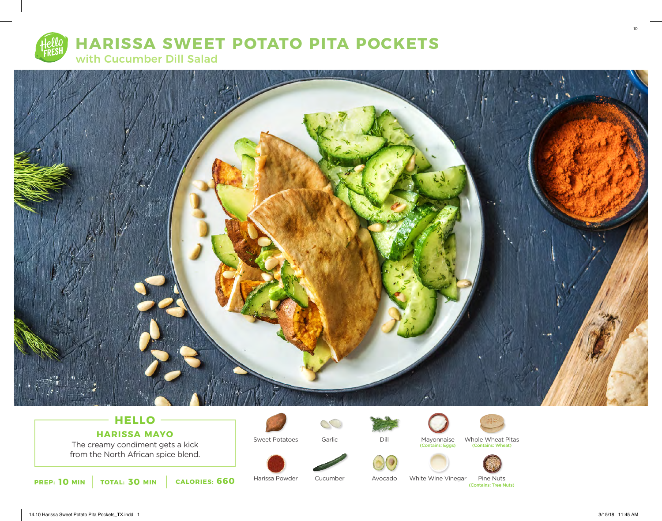



## **HELLO HARISSA MAYO**

The creamy condiment gets a kick from the North African spice blend.

**10 INCORTER:** TOTAL: 30 MIN **CALORIES: 660 Examplement Service Cucumber** Avocado White Wine Vinegar Pine Nuts

Harissa Powder

Sweet Potatoes

SC

Garlic

Cucumber



Avocado

Mayonnaise Whole Wheat Pi<br>
(Contains: Eggs) (Contains: Wheat) Whole Wheat Pitas<br>
(Contains: Wheat)





White Wine Vinegar Pine Nuts<br>(Contains: Tree Nuts)